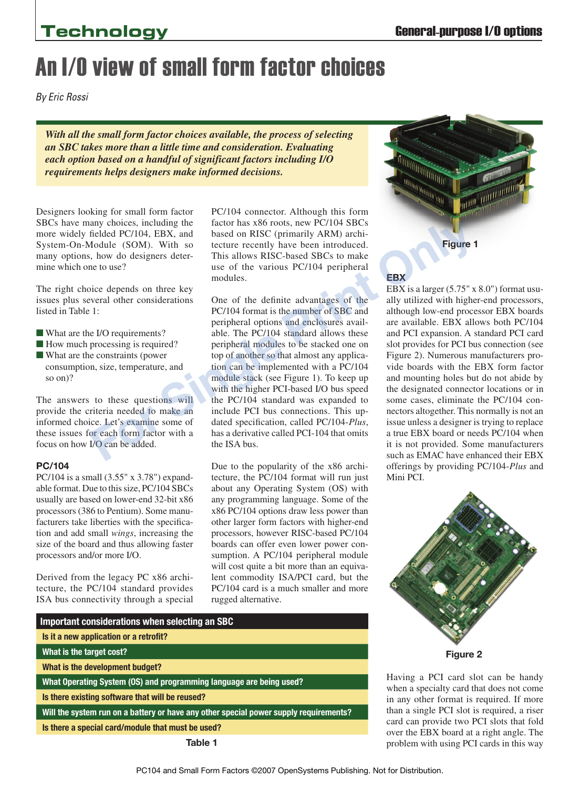# An I/O view of small form factor choices

*By Eric Rossi*

*With all the small form factor choices available, the process of selecting an SBC takes more than a little time and consideration. Evaluating each option based on a handful of significant factors including I/O requirements helps designers make informed decisions.*

Designers looking for small form factor SBCs have many choices, including the more widely fielded PC/104, EBX, and System-On-Module (SOM). With so many options, how do designers determine which one to use?

The right choice depends on three key issues plus several other considerations listed in Table 1:

- What are the I/O requirements?
- $\blacksquare$  How much processing is required?
- $\blacksquare$  What are the constraints (power consumption, size, temperature, and so on)?

The answers to these questions will provide the criteria needed to make an informed choice. Let's examine some of these issues for each form factor with a focus on how I/O can be added.

### **PC/104**

PC/104 is a small (3.55" x 3.78") expandable format. Due to this size, PC/104 SBCs usually are based on lower-end 32-bit x86 processors (386 to Pentium). Some manufacturers take liberties with the specification and add small *wings*, increasing the size of the board and thus allowing faster processors and/or more I/O.

Derived from the legacy PC x86 architecture, the PC/104 standard provides ISA bus connectivity through a special PC/104 connector. Although this form factor has x86 roots, new PC/104 SBCs based on RISC (primarily ARM) architecture recently have been introduced. This allows RISC-based SBCs to make use of the various PC/104 peripheral modules.

One of the definite advantages of the PC/104 format is the number of SBC and peripheral options and enclosures available. The PC/104 standard allows these peripheral modules to be stacked one on top of another so that almost any application can be implemented with a PC/104 module stack (see Figure 1). To keep up with the higher PCI-based I/O bus speed the PC/104 standard was expanded to include PCI bus connections. This updated specification, called PC/104-*Plus*, has a derivative called PCI-104 that omits the ISA bus. The real of the state of the same provides, including the tactor has a state on RISC (primarily ARM) archivated.<br>
Figure 1 fielded PC/104, EBX, and based on RISC (primarily ARM) archivated.<br>
In the cetter recently have bee

Due to the popularity of the x86 architecture, the PC/104 format will run just about any Operating System (OS) with any programming language. Some of the x86 PC/104 options draw less power than other larger form factors with higher-end processors, however RISC-based PC/104 boards can offer even lower power consumption. A PC/104 peripheral module will cost quite a bit more than an equivalent commodity ISA/PCI card, but the PC/104 card is a much smaller and more rugged alternative.

| Important considerations when selecting an SBC                                        |  |  |  |  |  |  |  |
|---------------------------------------------------------------------------------------|--|--|--|--|--|--|--|
| Is it a new application or a retrofit?                                                |  |  |  |  |  |  |  |
| What is the target cost?                                                              |  |  |  |  |  |  |  |
| What is the development budget?                                                       |  |  |  |  |  |  |  |
| What Operating System (OS) and programming language are being used?                   |  |  |  |  |  |  |  |
| Is there existing software that will be reused?                                       |  |  |  |  |  |  |  |
| Will the system run on a battery or have any other special power supply requirements? |  |  |  |  |  |  |  |
| Is there a special card/module that must be used?                                     |  |  |  |  |  |  |  |
| Table 1                                                                               |  |  |  |  |  |  |  |



### **EBX**

EBX is a larger (5.75" x 8.0") format usually utilized with higher-end processors, although low-end processor EBX boards are available. EBX allows both PC/104 and PCI expansion. A standard PCI card slot provides for PCI bus connection (see Figure 2). Numerous manufacturers provide boards with the EBX form factor and mounting holes but do not abide by the designated connector locations or in some cases, eliminate the PC/104 connectors altogether. This normally is not an issue unless a designer is trying to replace a true EBX board or needs PC/104 when it is not provided. Some manufacturers such as EMAC have enhanced their EBX offerings by providing PC/104-*Plus* and Mini PCI.



**Figure 2**

Having a PCI card slot can be handy when a specialty card that does not come in any other format is required. If more than a single PCI slot is required, a riser card can provide two PCI slots that fold over the EBX board at a right angle. The problem with using PCI cards in this way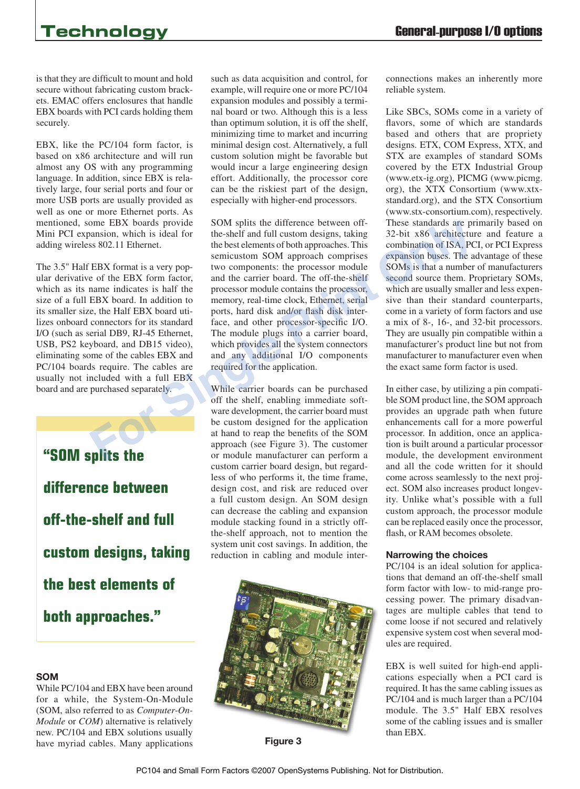is that they are difficult to mount and hold secure without fabricating custom brackets. EMAC offers enclosures that handle EBX boards with PCI cards holding them securely.

EBX, like the PC/104 form factor, is based on x86 architecture and will run almost any OS with any programming language. In addition, since EBX is relatively large, four serial ports and four or more USB ports are usually provided as well as one or more Ethernet ports. As mentioned, some EBX boards provide Mini PCI expansion, which is ideal for adding wireless 802.11 Ethernet.

The 3.5" Half EBX format is a very popular derivative of the EBX form factor, which as its name indicates is half the size of a full EBX board. In addition to its smaller size, the Half EBX board utilizes onboard connectors for its standard I/O (such as serial DB9, RJ-45 Ethernet, USB, PS2 keyboard, and DB15 video), eliminating some of the cables EBX and PC/104 boards require. The cables are usually not included with a full EBX board and are purchased separately.

**"SOM splits the difference between off-the-shelf and full custom designs, taking the best elements of both approaches."**

### **SOM**

While PC/104 and EBX have been around for a while, the System-On-Module (SOM, also referred to as *Computer-On-Module* or *COM*) alternative is relatively new. PC/104 and EBX solutions usually have myriad cables. Many applications such as data acquisition and control, for example, will require one or more PC/104 expansion modules and possibly a terminal board or two. Although this is a less than optimum solution, it is off the shelf, minimizing time to market and incurring minimal design cost. Alternatively, a full custom solution might be favorable but would incur a large engineering design effort. Additionally, the processor core can be the riskiest part of the design, especially with higher-end processors.

SOM splits the difference between offthe-shelf and full custom designs, taking the best elements of both approaches. This semicustom SOM approach comprises two components: the processor module and the carrier board. The off-the-shelf processor module contains the processor, memory, real-time clock, Ethernet, serial ports, hard disk and/or flash disk interface, and other processor-specific I/O. The module plugs into a carrier board, which provides all the system connectors and any additional I/O components required for the application. EIX boards provide<br>
SOM splits the difference between off-<br>
interesting and response the the best elements of but here is a serpent<br>
search the best elements of both approaches. This<br>
sexpansion but S. P. CEBX format is a

While carrier boards can be purchased off the shelf, enabling immediate software development, the carrier board must be custom designed for the application at hand to reap the benefits of the SOM approach (see Figure 3). The customer or module manufacturer can perform a custom carrier board design, but regardless of who performs it, the time frame, design cost, and risk are reduced over a full custom design. An SOM design can decrease the cabling and expansion module stacking found in a strictly offthe-shelf approach, not to mention the system unit cost savings. In addition, the reduction in cabling and module inter-



**Figure 3**

connections makes an inherently more reliable system.

Like SBCs, SOMs come in a variety of flavors, some of which are standards based and others that are propriety designs. ETX, COM Express, XTX, and STX are examples of standard SOMs covered by the ETX Industrial Group (www.etx-ig.org), PICMG (www.picmg. org), the XTX Consortium (www.xtxstandard.org), and the STX Consortium (www.stx-consortium.com), respectively. These standards are primarily based on 32-bit x86 architecture and feature a combination of ISA, PCI, or PCI Express expansion buses. The advantage of these SOMs is that a number of manufacturers second source them. Proprietary SOMs, which are usually smaller and less expensive than their standard counterparts, come in a variety of form factors and use a mix of 8-, 16-, and 32-bit processors. They are usually pin compatible within a manufacturer's product line but not from manufacturer to manufacturer even when the exact same form factor is used.

In either case, by utilizing a pin compatible SOM product line, the SOM approach provides an upgrade path when future enhancements call for a more powerful processor. In addition, once an application is built around a particular processor module, the development environment and all the code written for it should come across seamlessly to the next project. SOM also increases product longevity. Unlike what's possible with a full custom approach, the processor module can be replaced easily once the processor, flash, or RAM becomes obsolete.

### **Narrowing the choices**

PC/104 is an ideal solution for applications that demand an off-the-shelf small form factor with low- to mid-range processing power. The primary disadvantages are multiple cables that tend to come loose if not secured and relatively expensive system cost when several modules are required.

EBX is well suited for high-end applications especially when a PCI card is required. It has the same cabling issues as PC/104 and is much larger than a PC/104 module. The 3.5" Half EBX resolves some of the cabling issues and is smaller than EBX.